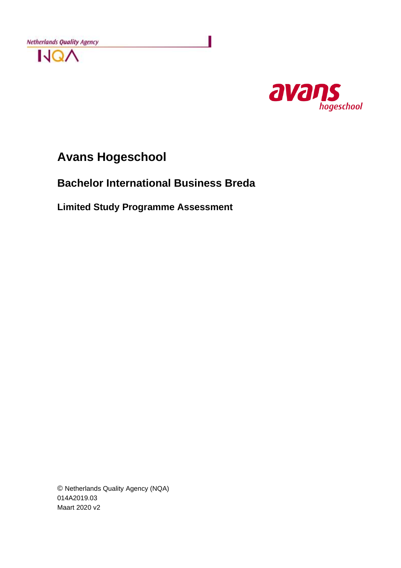



# **Avans Hogeschool**

# **Bachelor International Business Breda**

**Limited Study Programme Assessment**

© Netherlands Quality Agency (NQA) 014A2019.03 Maart 2020 v2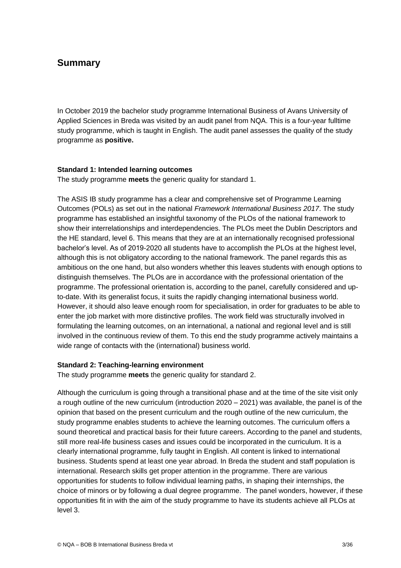# **Summary**

In October 2019 the bachelor study programme International Business of Avans University of Applied Sciences in Breda was visited by an audit panel from NQA. This is a four-year fulltime study programme, which is taught in English. The audit panel assesses the quality of the study programme as **positive.**

#### **Standard 1: Intended learning outcomes**

The study programme **meets** the generic quality for standard 1.

The ASIS IB study programme has a clear and comprehensive set of Programme Learning Outcomes (POLs) as set out in the national *Framework International Business 2017*. The study programme has established an insightful taxonomy of the PLOs of the national framework to show their interrelationships and interdependencies. The PLOs meet the Dublin Descriptors and the HE standard, level 6. This means that they are at an internationally recognised professional bachelor's level. As of 2019-2020 all students have to accomplish the PLOs at the highest level, although this is not obligatory according to the national framework. The panel regards this as ambitious on the one hand, but also wonders whether this leaves students with enough options to distinguish themselves. The PLOs are in accordance with the professional orientation of the programme. The professional orientation is, according to the panel, carefully considered and upto-date. With its generalist focus, it suits the rapidly changing international business world. However, it should also leave enough room for specialisation, in order for graduates to be able to enter the job market with more distinctive profiles. The work field was structurally involved in formulating the learning outcomes, on an international, a national and regional level and is still involved in the continuous review of them. To this end the study programme actively maintains a wide range of contacts with the (international) business world.

#### **Standard 2: Teaching-learning environment**

The study programme **meets** the generic quality for standard 2.

Although the curriculum is going through a transitional phase and at the time of the site visit only a rough outline of the new curriculum (introduction 2020 – 2021) was available, the panel is of the opinion that based on the present curriculum and the rough outline of the new curriculum, the study programme enables students to achieve the learning outcomes. The curriculum offers a sound theoretical and practical basis for their future careers. According to the panel and students, still more real-life business cases and issues could be incorporated in the curriculum. It is a clearly international programme, fully taught in English. All content is linked to international business. Students spend at least one year abroad. In Breda the student and staff population is international. Research skills get proper attention in the programme. There are various opportunities for students to follow individual learning paths, in shaping their internships, the choice of minors or by following a dual degree programme. The panel wonders, however, if these opportunities fit in with the aim of the study programme to have its students achieve all PLOs at level 3.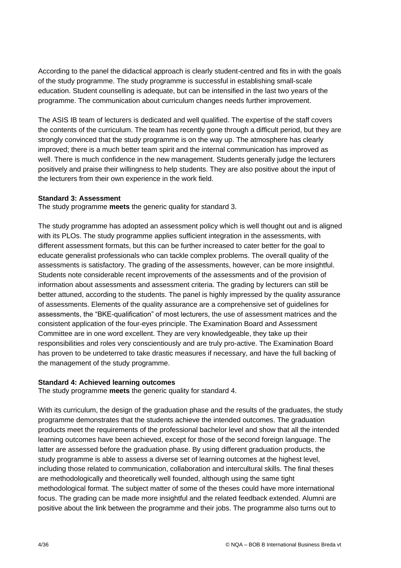According to the panel the didactical approach is clearly student-centred and fits in with the goals of the study programme. The study programme is successful in establishing small-scale education. Student counselling is adequate, but can be intensified in the last two years of the programme. The communication about curriculum changes needs further improvement.

The ASIS IB team of lecturers is dedicated and well qualified. The expertise of the staff covers the contents of the curriculum. The team has recently gone through a difficult period, but they are strongly convinced that the study programme is on the way up. The atmosphere has clearly improved; there is a much better team spirit and the internal communication has improved as well. There is much confidence in the new management. Students generally judge the lecturers positively and praise their willingness to help students. They are also positive about the input of the lecturers from their own experience in the work field.

#### **Standard 3: Assessment**

The study programme **meets** the generic quality for standard 3.

The study programme has adopted an assessment policy which is well thought out and is aligned with its PLOs. The study programme applies sufficient integration in the assessments, with different assessment formats, but this can be further increased to cater better for the goal to educate generalist professionals who can tackle complex problems. The overall quality of the assessments is satisfactory. The grading of the assessments, however, can be more insightful. Students note considerable recent improvements of the assessments and of the provision of information about assessments and assessment criteria. The grading by lecturers can still be better attuned, according to the students. The panel is highly impressed by the quality assurance of assessments. Elements of the quality assurance are a comprehensive set of guidelines for assessments, the "BKE-qualification" of most lecturers, the use of assessment matrices and the consistent application of the four-eyes principle. The Examination Board and Assessment Committee are in one word excellent. They are very knowledgeable, they take up their responsibilities and roles very conscientiously and are truly pro-active. The Examination Board has proven to be undeterred to take drastic measures if necessary, and have the full backing of the management of the study programme.

#### **Standard 4: Achieved learning outcomes**

The study programme **meets** the generic quality for standard 4.

With its curriculum, the design of the graduation phase and the results of the graduates, the study programme demonstrates that the students achieve the intended outcomes. The graduation products meet the requirements of the professional bachelor level and show that all the intended learning outcomes have been achieved, except for those of the second foreign language. The latter are assessed before the graduation phase. By using different graduation products, the study programme is able to assess a diverse set of learning outcomes at the highest level, including those related to communication, collaboration and intercultural skills. The final theses are methodologically and theoretically well founded, although using the same tight methodological format. The subject matter of some of the theses could have more international focus. The grading can be made more insightful and the related feedback extended. Alumni are positive about the link between the programme and their jobs. The programme also turns out to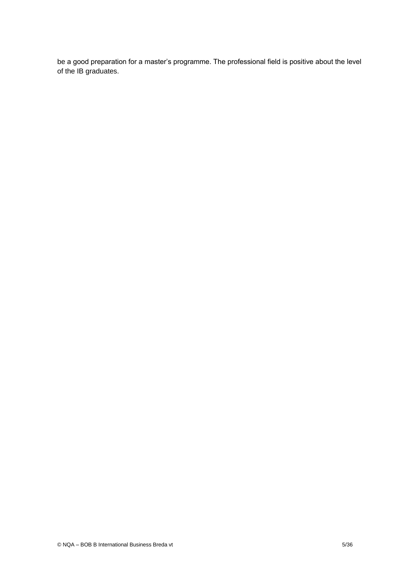be a good preparation for a master's programme. The professional field is positive about the level of the IB graduates.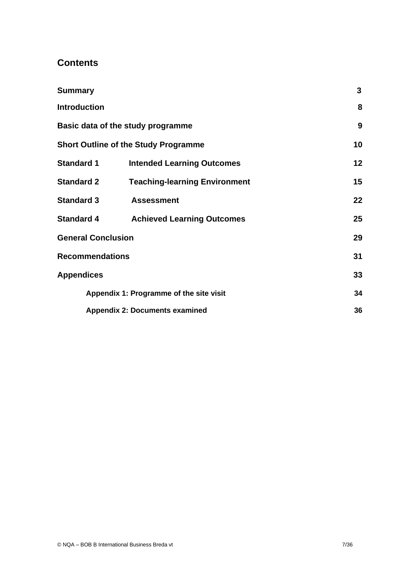# **Contents**

| Summary                                 | 3                                           |    |
|-----------------------------------------|---------------------------------------------|----|
| <b>Introduction</b>                     | 8                                           |    |
| Basic data of the study programme       | 9                                           |    |
|                                         | <b>Short Outline of the Study Programme</b> | 10 |
| <b>Standard 1</b>                       | <b>Intended Learning Outcomes</b>           | 12 |
| <b>Standard 2</b>                       | <b>Teaching-learning Environment</b>        | 15 |
| <b>Standard 3</b>                       | <b>Assessment</b>                           | 22 |
| <b>Standard 4</b>                       | <b>Achieved Learning Outcomes</b>           | 25 |
| <b>General Conclusion</b>               |                                             |    |
| <b>Recommendations</b>                  |                                             |    |
| <b>Appendices</b>                       |                                             |    |
| Appendix 1: Programme of the site visit |                                             |    |
| <b>Appendix 2: Documents examined</b>   | 36                                          |    |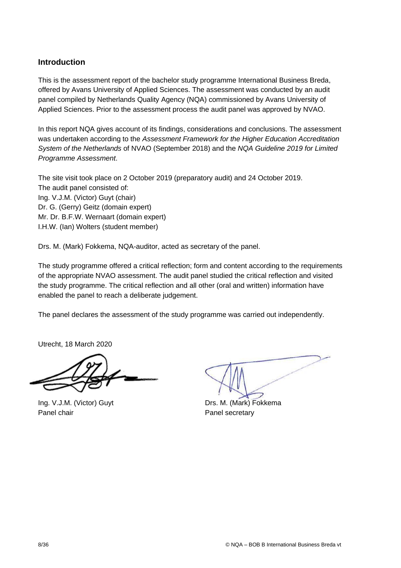# **Introduction**

This is the assessment report of the bachelor study programme International Business Breda, offered by Avans University of Applied Sciences. The assessment was conducted by an audit panel compiled by Netherlands Quality Agency (NQA) commissioned by Avans University of Applied Sciences. Prior to the assessment process the audit panel was approved by NVAO.

In this report NQA gives account of its findings, considerations and conclusions. The assessment was undertaken according to the *Assessment Framework for the Higher Education Accreditation System of the Netherlands* of NVAO (September 2018) and the *NQA Guideline 2019 for Limited Programme Assessment*.

The site visit took place on 2 October 2019 (preparatory audit) and 24 October 2019. The audit panel consisted of: Ing. V.J.M. (Victor) Guyt (chair) Dr. G. (Gerry) Geitz (domain expert) Mr. Dr. B.F.W. Wernaart (domain expert) I.H.W. (Ian) Wolters (student member)

Drs. M. (Mark) Fokkema, NQA-auditor, acted as secretary of the panel.

The study programme offered a critical reflection; form and content according to the requirements of the appropriate NVAO assessment. The audit panel studied the critical reflection and visited the study programme. The critical reflection and all other (oral and written) information have enabled the panel to reach a deliberate judgement.

The panel declares the assessment of the study programme was carried out independently.

Utrecht, 18 March 2020

Panel chair **Panel secretary** Panel secretary

Ing. V.J.M. (Victor) Guyt **Drs. M. (Mark) Fokkema**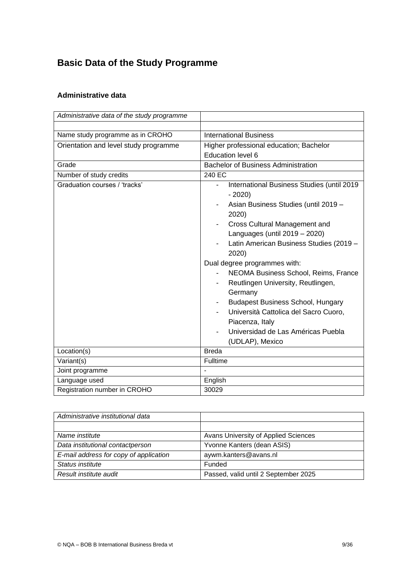# **Basic Data of the Study Programme**

# **Administrative data**

| Administrative data of the study programme |                                                                                                                                                                                                                                                                                                                                                                                                                                                                                                                               |  |  |
|--------------------------------------------|-------------------------------------------------------------------------------------------------------------------------------------------------------------------------------------------------------------------------------------------------------------------------------------------------------------------------------------------------------------------------------------------------------------------------------------------------------------------------------------------------------------------------------|--|--|
|                                            |                                                                                                                                                                                                                                                                                                                                                                                                                                                                                                                               |  |  |
| Name study programme as in CROHO           | <b>International Business</b>                                                                                                                                                                                                                                                                                                                                                                                                                                                                                                 |  |  |
| Orientation and level study programme      | Higher professional education; Bachelor                                                                                                                                                                                                                                                                                                                                                                                                                                                                                       |  |  |
|                                            | <b>Education level 6</b>                                                                                                                                                                                                                                                                                                                                                                                                                                                                                                      |  |  |
| Grade                                      | <b>Bachelor of Business Administration</b>                                                                                                                                                                                                                                                                                                                                                                                                                                                                                    |  |  |
| Number of study credits                    | 240 EC                                                                                                                                                                                                                                                                                                                                                                                                                                                                                                                        |  |  |
| Graduation courses / 'tracks'              | International Business Studies (until 2019<br>$-2020$<br>Asian Business Studies (until 2019 -<br>2020)<br><b>Cross Cultural Management and</b><br>Languages (until 2019 - 2020)<br>Latin American Business Studies (2019 -<br>2020)<br>Dual degree programmes with:<br>NEOMA Business School, Reims, France<br>Reutlingen University, Reutlingen,<br>Germany<br><b>Budapest Business School, Hungary</b><br>Università Cattolica del Sacro Cuoro,<br>Piacenza, Italy<br>Universidad de Las Américas Puebla<br>(UDLAP), Mexico |  |  |
| Location(s)                                | <b>Breda</b>                                                                                                                                                                                                                                                                                                                                                                                                                                                                                                                  |  |  |
| Variant(s)                                 | Fulltime                                                                                                                                                                                                                                                                                                                                                                                                                                                                                                                      |  |  |
| Joint programme                            |                                                                                                                                                                                                                                                                                                                                                                                                                                                                                                                               |  |  |
| Language used                              | English                                                                                                                                                                                                                                                                                                                                                                                                                                                                                                                       |  |  |
| Registration number in CROHO               | 30029                                                                                                                                                                                                                                                                                                                                                                                                                                                                                                                         |  |  |

| Administrative institutional data      |                                      |
|----------------------------------------|--------------------------------------|
|                                        |                                      |
| Name institute                         | Avans University of Applied Sciences |
| Data institutional contactperson       | Yvonne Kanters (dean ASIS)           |
| E-mail address for copy of application | aywm.kanters@avans.nl                |
| Status institute                       | Funded                               |
| Result institute audit                 | Passed, valid until 2 September 2025 |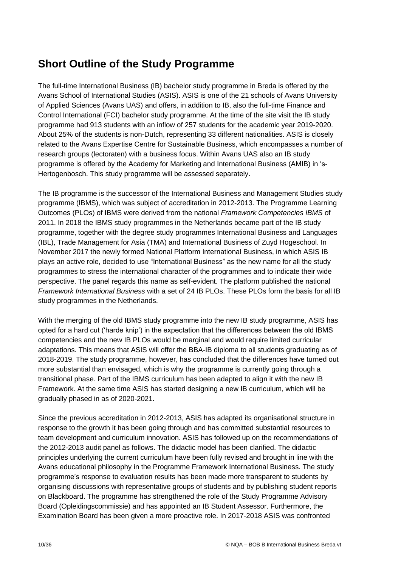# **Short Outline of the Study Programme**

The full-time International Business (IB) bachelor study programme in Breda is offered by the Avans School of International Studies (ASIS). ASIS is one of the 21 schools of Avans University of Applied Sciences (Avans UAS) and offers, in addition to IB, also the full-time Finance and Control International (FCI) bachelor study programme. At the time of the site visit the IB study programme had 913 students with an inflow of 257 students for the academic year 2019-2020. About 25% of the students is non-Dutch, representing 33 different nationalities. ASIS is closely related to the Avans Expertise Centre for Sustainable Business, which encompasses a number of research groups (lectoraten) with a business focus. Within Avans UAS also an IB study programme is offered by the Academy for Marketing and International Business (AMIB) in 's-Hertogenbosch. This study programme will be assessed separately.

The IB programme is the successor of the International Business and Management Studies study programme (IBMS), which was subject of accreditation in 2012-2013. The Programme Learning Outcomes (PLOs) of IBMS were derived from the national *Framework Competencies IBMS* of 2011. In 2018 the IBMS study programmes in the Netherlands became part of the IB study programme, together with the degree study programmes International Business and Languages (IBL), Trade Management for Asia (TMA) and International Business of Zuyd Hogeschool. In November 2017 the newly formed National Platform International Business, in which ASIS IB plays an active role, decided to use "International Business" as the new name for all the study programmes to stress the international character of the programmes and to indicate their wide perspective. The panel regards this name as self-evident. The platform published the national *Framework International Business* with a set of 24 IB PLOs. These PLOs form the basis for all IB study programmes in the Netherlands.

With the merging of the old IBMS study programme into the new IB study programme, ASIS has opted for a hard cut ('harde knip') in the expectation that the differences between the old IBMS competencies and the new IB PLOs would be marginal and would require limited curricular adaptations. This means that ASIS will offer the BBA-IB diploma to all students graduating as of 2018-2019. The study programme, however, has concluded that the differences have turned out more substantial than envisaged, which is why the programme is currently going through a transitional phase. Part of the IBMS curriculum has been adapted to align it with the new IB Framework. At the same time ASIS has started designing a new IB curriculum, which will be gradually phased in as of 2020-2021.

Since the previous accreditation in 2012-2013, ASIS has adapted its organisational structure in response to the growth it has been going through and has committed substantial resources to team development and curriculum innovation. ASIS has followed up on the recommendations of the 2012-2013 audit panel as follows. The didactic model has been clarified. The didactic principles underlying the current curriculum have been fully revised and brought in line with the Avans educational philosophy in the Programme Framework International Business. The study programme's response to evaluation results has been made more transparent to students by organising discussions with representative groups of students and by publishing student reports on Blackboard. The programme has strengthened the role of the Study Programme Advisory Board (Opleidingscommissie) and has appointed an IB Student Assessor. Furthermore, the Examination Board has been given a more proactive role. In 2017-2018 ASIS was confronted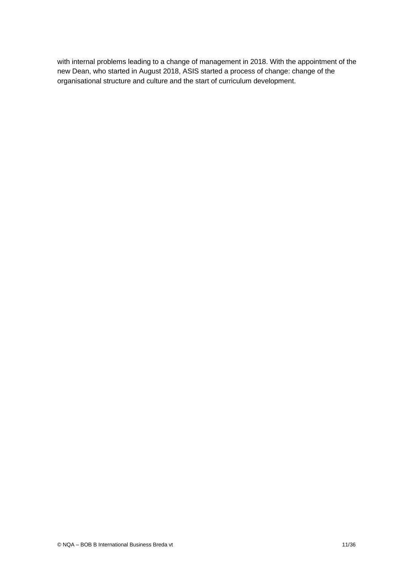with internal problems leading to a change of management in 2018. With the appointment of the new Dean, who started in August 2018, ASIS started a process of change: change of the organisational structure and culture and the start of curriculum development.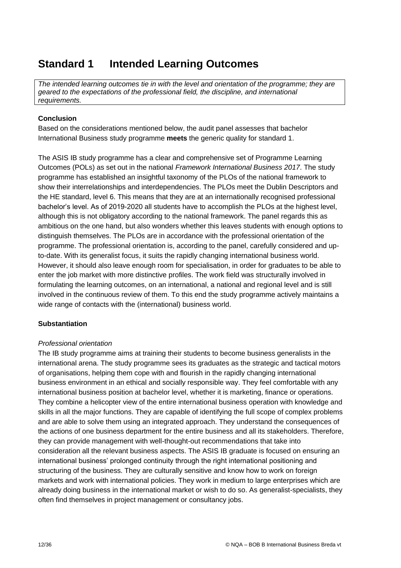# **Standard 1 Intended Learning Outcomes**

*The intended learning outcomes tie in with the level and orientation of the programme; they are geared to the expectations of the professional field, the discipline, and international requirements.*

# **Conclusion**

Based on the considerations mentioned below, the audit panel assesses that bachelor International Business study programme **meets** the generic quality for standard 1.

The ASIS IB study programme has a clear and comprehensive set of Programme Learning Outcomes (POLs) as set out in the national *Framework International Business 2017*. The study programme has established an insightful taxonomy of the PLOs of the national framework to show their interrelationships and interdependencies. The PLOs meet the Dublin Descriptors and the HE standard, level 6. This means that they are at an internationally recognised professional bachelor's level. As of 2019-2020 all students have to accomplish the PLOs at the highest level, although this is not obligatory according to the national framework. The panel regards this as ambitious on the one hand, but also wonders whether this leaves students with enough options to distinguish themselves. The PLOs are in accordance with the professional orientation of the programme. The professional orientation is, according to the panel, carefully considered and upto-date. With its generalist focus, it suits the rapidly changing international business world. However, it should also leave enough room for specialisation, in order for graduates to be able to enter the job market with more distinctive profiles. The work field was structurally involved in formulating the learning outcomes, on an international, a national and regional level and is still involved in the continuous review of them. To this end the study programme actively maintains a wide range of contacts with the (international) business world.

# **Substantiation**

### *Professional orientation*

The IB study programme aims at training their students to become business generalists in the international arena. The study programme sees its graduates as the strategic and tactical motors of organisations, helping them cope with and flourish in the rapidly changing international business environment in an ethical and socially responsible way. They feel comfortable with any international business position at bachelor level, whether it is marketing, finance or operations. They combine a helicopter view of the entire international business operation with knowledge and skills in all the major functions. They are capable of identifying the full scope of complex problems and are able to solve them using an integrated approach. They understand the consequences of the actions of one business department for the entire business and all its stakeholders. Therefore, they can provide management with well-thought-out recommendations that take into consideration all the relevant business aspects. The ASIS IB graduate is focused on ensuring an international business' prolonged continuity through the right international positioning and structuring of the business. They are culturally sensitive and know how to work on foreign markets and work with international policies. They work in medium to large enterprises which are already doing business in the international market or wish to do so. As generalist-specialists, they often find themselves in project management or consultancy jobs.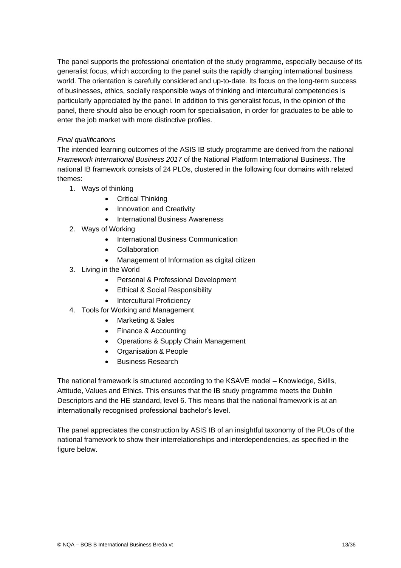The panel supports the professional orientation of the study programme, especially because of its generalist focus, which according to the panel suits the rapidly changing international business world. The orientation is carefully considered and up-to-date. Its focus on the long-term success of businesses, ethics, socially responsible ways of thinking and intercultural competencies is particularly appreciated by the panel. In addition to this generalist focus, in the opinion of the panel, there should also be enough room for specialisation, in order for graduates to be able to enter the job market with more distinctive profiles.

#### *Final qualifications*

The intended learning outcomes of the ASIS IB study programme are derived from the national *Framework International Business 2017* of the National Platform International Business. The national IB framework consists of 24 PLOs, clustered in the following four domains with related themes:

- 1. Ways of thinking
	- Critical Thinking
	- Innovation and Creativity
	- International Business Awareness
- 2. Ways of Working
	- International Business Communication
	- Collaboration
	- Management of Information as digital citizen
- 3. Living in the World
	- Personal & Professional Development
	- Ethical & Social Responsibility
	- Intercultural Proficiency
- 4. Tools for Working and Management
	- Marketing & Sales
	- Finance & Accounting
	- Operations & Supply Chain Management
	- Organisation & People
	- Business Research

The national framework is structured according to the KSAVE model – Knowledge, Skills, Attitude, Values and Ethics. This ensures that the IB study programme meets the Dublin Descriptors and the HE standard, level 6. This means that the national framework is at an internationally recognised professional bachelor's level.

The panel appreciates the construction by ASIS IB of an insightful taxonomy of the PLOs of the national framework to show their interrelationships and interdependencies, as specified in the figure below.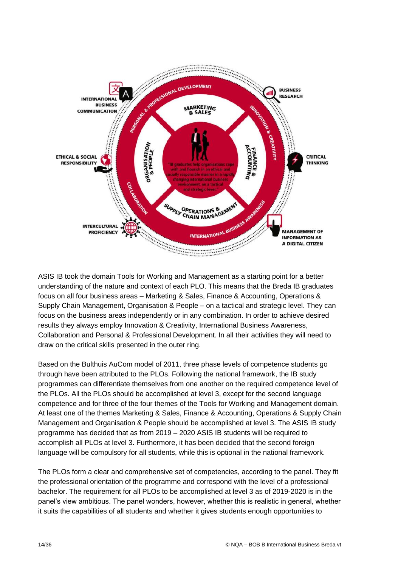

ASIS IB took the domain Tools for Working and Management as a starting point for a better understanding of the nature and context of each PLO. This means that the Breda IB graduates focus on all four business areas – Marketing & Sales, Finance & Accounting, Operations & Supply Chain Management, Organisation & People – on a tactical and strategic level. They can focus on the business areas independently or in any combination. In order to achieve desired results they always employ Innovation & Creativity, International Business Awareness, Collaboration and Personal & Professional Development. In all their activities they will need to draw on the critical skills presented in the outer ring.

Based on the Bulthuis AuCom model of 2011, three phase levels of competence students go through have been attributed to the PLOs. Following the national framework, the IB study programmes can differentiate themselves from one another on the required competence level of the PLOs. All the PLOs should be accomplished at level 3, except for the second language competence and for three of the four themes of the Tools for Working and Management domain. At least one of the themes Marketing & Sales, Finance & Accounting, Operations & Supply Chain Management and Organisation & People should be accomplished at level 3. The ASIS IB study programme has decided that as from 2019 – 2020 ASIS IB students will be required to accomplish all PLOs at level 3. Furthermore, it has been decided that the second foreign language will be compulsory for all students, while this is optional in the national framework.

The PLOs form a clear and comprehensive set of competencies, according to the panel. They fit the professional orientation of the programme and correspond with the level of a professional bachelor. The requirement for all PLOs to be accomplished at level 3 as of 2019-2020 is in the panel's view ambitious. The panel wonders, however, whether this is realistic in general, whether it suits the capabilities of all students and whether it gives students enough opportunities to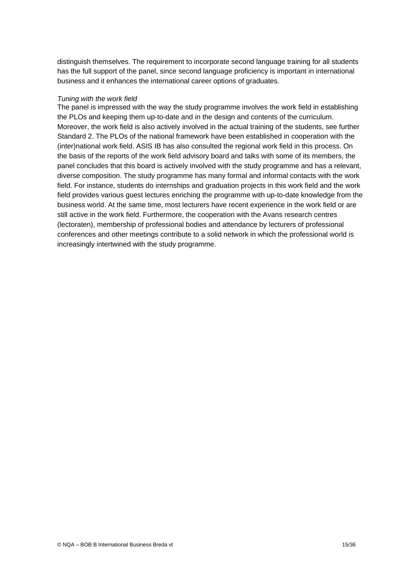distinguish themselves. The requirement to incorporate second language training for all students has the full support of the panel, since second language proficiency is important in international business and it enhances the international career options of graduates.

#### *Tuning with the work field*

The panel is impressed with the way the study programme involves the work field in establishing the PLOs and keeping them up-to-date and in the design and contents of the curriculum. Moreover, the work field is also actively involved in the actual training of the students, see further Standard 2. The PLOs of the national framework have been established in cooperation with the (inter)national work field. ASIS IB has also consulted the regional work field in this process. On the basis of the reports of the work field advisory board and talks with some of its members, the panel concludes that this board is actively involved with the study programme and has a relevant, diverse composition. The study programme has many formal and informal contacts with the work field. For instance, students do internships and graduation projects in this work field and the work field provides various guest lectures enriching the programme with up-to-date knowledge from the business world. At the same time, most lecturers have recent experience in the work field or are still active in the work field. Furthermore, the cooperation with the Avans research centres (lectoraten), membership of professional bodies and attendance by lecturers of professional conferences and other meetings contribute to a solid network in which the professional world is increasingly intertwined with the study programme.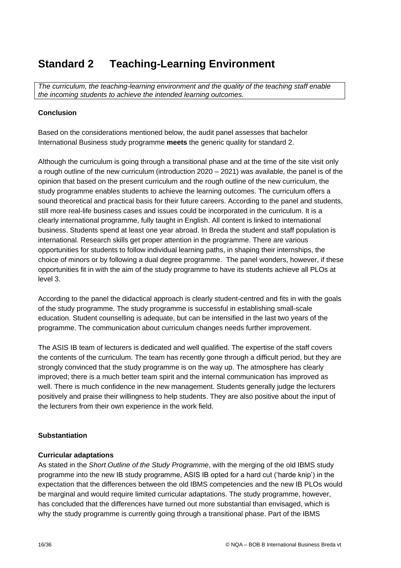# **Standard 2 Teaching-Learning Environment**

*The curriculum, the teaching-learning environment and the quality of the teaching staff enable the incoming students to achieve the intended learning outcomes.*

# **Conclusion**

Based on the considerations mentioned below, the audit panel assesses that bachelor International Business study programme **meets** the generic quality for standard 2.

Although the curriculum is going through a transitional phase and at the time of the site visit only a rough outline of the new curriculum (introduction 2020 – 2021) was available, the panel is of the opinion that based on the present curriculum and the rough outline of the new curriculum, the study programme enables students to achieve the learning outcomes. The curriculum offers a sound theoretical and practical basis for their future careers. According to the panel and students, still more real-life business cases and issues could be incorporated in the curriculum. It is a clearly international programme, fully taught in English. All content is linked to international business. Students spend at least one year abroad. In Breda the student and staff population is international. Research skills get proper attention in the programme. There are various opportunities for students to follow individual learning paths, in shaping their internships, the choice of minors or by following a dual degree programme. The panel wonders, however, if these opportunities fit in with the aim of the study programme to have its students achieve all PLOs at level 3.

According to the panel the didactical approach is clearly student-centred and fits in with the goals of the study programme. The study programme is successful in establishing small-scale education. Student counselling is adequate, but can be intensified in the last two years of the programme. The communication about curriculum changes needs further improvement.

The ASIS IB team of lecturers is dedicated and well qualified. The expertise of the staff covers the contents of the curriculum. The team has recently gone through a difficult period, but they are strongly convinced that the study programme is on the way up. The atmosphere has clearly improved; there is a much better team spirit and the internal communication has improved as well. There is much confidence in the new management. Students generally judge the lecturers positively and praise their willingness to help students. They are also positive about the input of the lecturers from their own experience in the work field.

### **Substantiation**

#### **Curricular adaptations**

As stated in the *Short Outline of the Study Programme*, with the merging of the old IBMS study programme into the new IB study programme, ASIS IB opted for a hard cut ('harde knip') in the expectation that the differences between the old IBMS competencies and the new IB PLOs would be marginal and would require limited curricular adaptations. The study programme, however, has concluded that the differences have turned out more substantial than envisaged, which is why the study programme is currently going through a transitional phase. Part of the IBMS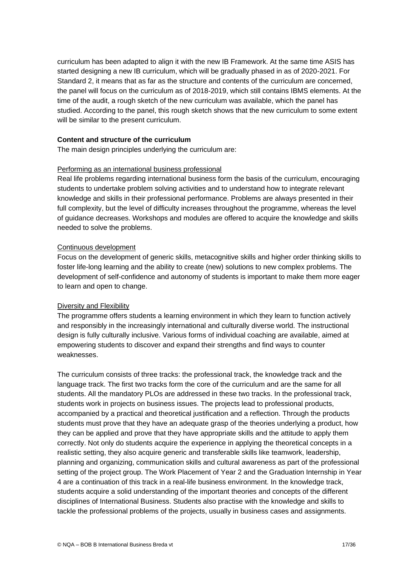curriculum has been adapted to align it with the new IB Framework. At the same time ASIS has started designing a new IB curriculum, which will be gradually phased in as of 2020-2021. For Standard 2, it means that as far as the structure and contents of the curriculum are concerned, the panel will focus on the curriculum as of 2018-2019, which still contains IBMS elements. At the time of the audit, a rough sketch of the new curriculum was available, which the panel has studied. According to the panel, this rough sketch shows that the new curriculum to some extent will be similar to the present curriculum.

#### **Content and structure of the curriculum**

The main design principles underlying the curriculum are:

#### Performing as an international business professional

Real life problems regarding international business form the basis of the curriculum, encouraging students to undertake problem solving activities and to understand how to integrate relevant knowledge and skills in their professional performance. Problems are always presented in their full complexity, but the level of difficulty increases throughout the programme, whereas the level of guidance decreases. Workshops and modules are offered to acquire the knowledge and skills needed to solve the problems.

#### Continuous development

Focus on the development of generic skills, metacognitive skills and higher order thinking skills to foster life-long learning and the ability to create (new) solutions to new complex problems. The development of self-confidence and autonomy of students is important to make them more eager to learn and open to change.

#### Diversity and Flexibility

The programme offers students a learning environment in which they learn to function actively and responsibly in the increasingly international and culturally diverse world. The instructional design is fully culturally inclusive. Various forms of individual coaching are available, aimed at empowering students to discover and expand their strengths and find ways to counter weaknesses.

The curriculum consists of three tracks: the professional track, the knowledge track and the language track. The first two tracks form the core of the curriculum and are the same for all students. All the mandatory PLOs are addressed in these two tracks. In the professional track, students work in projects on business issues. The projects lead to professional products, accompanied by a practical and theoretical justification and a reflection. Through the products students must prove that they have an adequate grasp of the theories underlying a product, how they can be applied and prove that they have appropriate skills and the attitude to apply them correctly. Not only do students acquire the experience in applying the theoretical concepts in a realistic setting, they also acquire generic and transferable skills like teamwork, leadership, planning and organizing, communication skills and cultural awareness as part of the professional setting of the project group. The Work Placement of Year 2 and the Graduation Internship in Year 4 are a continuation of this track in a real-life business environment. In the knowledge track, students acquire a solid understanding of the important theories and concepts of the different disciplines of International Business. Students also practise with the knowledge and skills to tackle the professional problems of the projects, usually in business cases and assignments.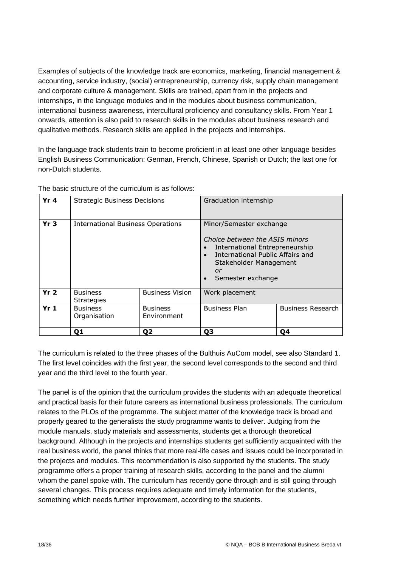Examples of subjects of the knowledge track are economics, marketing, financial management & accounting, service industry, (social) entrepreneurship, currency risk, supply chain management and corporate culture & management. Skills are trained, apart from in the projects and internships, in the language modules and in the modules about business communication, international business awareness, intercultural proficiency and consultancy skills. From Year 1 onwards, attention is also paid to research skills in the modules about business research and qualitative methods. Research skills are applied in the projects and internships.

In the language track students train to become proficient in at least one other language besides English Business Communication: German, French, Chinese, Spanish or Dutch; the last one for non-Dutch students.

| Yr 4            | <b>Strategic Business Decisions</b>      |                                | Graduation internship                                                                                                                                                                |                          |
|-----------------|------------------------------------------|--------------------------------|--------------------------------------------------------------------------------------------------------------------------------------------------------------------------------------|--------------------------|
| Yr <sub>3</sub> | <b>International Business Operations</b> |                                | Minor/Semester exchange<br>Choice between the ASIS minors<br>International Entrepreneurship<br>International Public Affairs and<br>Stakeholder Management<br>or<br>Semester exchange |                          |
| Yr <sub>2</sub> | <b>Business</b><br><b>Strategies</b>     | <b>Business Vision</b>         | Work placement                                                                                                                                                                       |                          |
| Yr1             | <b>Business</b><br>Organisation          | <b>Business</b><br>Environment | <b>Business Plan</b>                                                                                                                                                                 | <b>Business Research</b> |
|                 | Q1                                       | Q <sub>2</sub>                 | Q3                                                                                                                                                                                   | Q4                       |

The basic structure of the curriculum is as follows:

The curriculum is related to the three phases of the Bulthuis AuCom model, see also Standard 1. The first level coincides with the first year, the second level corresponds to the second and third year and the third level to the fourth year.

The panel is of the opinion that the curriculum provides the students with an adequate theoretical and practical basis for their future careers as international business professionals. The curriculum relates to the PLOs of the programme. The subject matter of the knowledge track is broad and properly geared to the generalists the study programme wants to deliver. Judging from the module manuals, study materials and assessments, students get a thorough theoretical background. Although in the projects and internships students get sufficiently acquainted with the real business world, the panel thinks that more real-life cases and issues could be incorporated in the projects and modules. This recommendation is also supported by the students. The study programme offers a proper training of research skills, according to the panel and the alumni whom the panel spoke with. The curriculum has recently gone through and is still going through several changes. This process requires adequate and timely information for the students, something which needs further improvement, according to the students.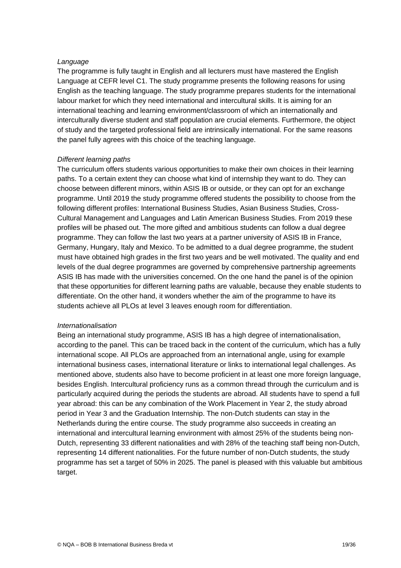#### *Language*

The programme is fully taught in English and all lecturers must have mastered the English Language at CEFR level C1. The study programme presents the following reasons for using English as the teaching language. The study programme prepares students for the international labour market for which they need international and intercultural skills. It is aiming for an international teaching and learning environment/classroom of which an internationally and interculturally diverse student and staff population are crucial elements. Furthermore, the object of study and the targeted professional field are intrinsically international. For the same reasons the panel fully agrees with this choice of the teaching language.

#### *Different learning paths*

The curriculum offers students various opportunities to make their own choices in their learning paths. To a certain extent they can choose what kind of internship they want to do. They can choose between different minors, within ASIS IB or outside, or they can opt for an exchange programme. Until 2019 the study programme offered students the possibility to choose from the following different profiles: International Business Studies, Asian Business Studies, Cross-Cultural Management and Languages and Latin American Business Studies. From 2019 these profiles will be phased out. The more gifted and ambitious students can follow a dual degree programme. They can follow the last two years at a partner university of ASIS IB in France, Germany, Hungary, Italy and Mexico. To be admitted to a dual degree programme, the student must have obtained high grades in the first two years and be well motivated. The quality and end levels of the dual degree programmes are governed by comprehensive partnership agreements ASIS IB has made with the universities concerned. On the one hand the panel is of the opinion that these opportunities for different learning paths are valuable, because they enable students to differentiate. On the other hand, it wonders whether the aim of the programme to have its students achieve all PLOs at level 3 leaves enough room for differentiation.

#### *Internationalisation*

Being an international study programme, ASIS IB has a high degree of internationalisation, according to the panel. This can be traced back in the content of the curriculum, which has a fully international scope. All PLOs are approached from an international angle, using for example international business cases, international literature or links to international legal challenges. As mentioned above, students also have to become proficient in at least one more foreign language, besides English. Intercultural proficiency runs as a common thread through the curriculum and is particularly acquired during the periods the students are abroad. All students have to spend a full year abroad: this can be any combination of the Work Placement in Year 2, the study abroad period in Year 3 and the Graduation Internship. The non-Dutch students can stay in the Netherlands during the entire course. The study programme also succeeds in creating an international and intercultural learning environment with almost 25% of the students being non-Dutch, representing 33 different nationalities and with 28% of the teaching staff being non-Dutch, representing 14 different nationalities. For the future number of non-Dutch students, the study programme has set a target of 50% in 2025. The panel is pleased with this valuable but ambitious target.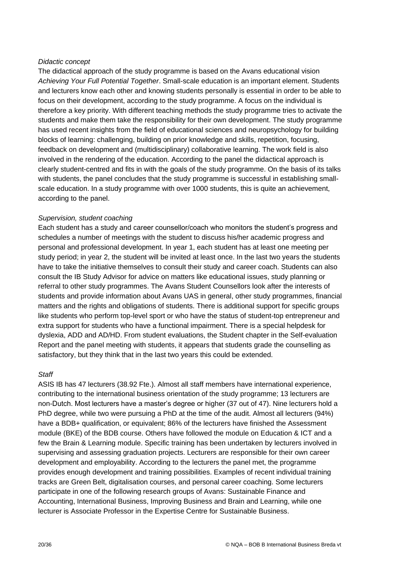#### *Didactic concept*

The didactical approach of the study programme is based on the Avans educational vision *Achieving Your Full Potential Together*. Small-scale education is an important element. Students and lecturers know each other and knowing students personally is essential in order to be able to focus on their development, according to the study programme. A focus on the individual is therefore a key priority. With different teaching methods the study programme tries to activate the students and make them take the responsibility for their own development. The study programme has used recent insights from the field of educational sciences and neuropsychology for building blocks of learning: challenging, building on prior knowledge and skills, repetition, focusing, feedback on development and (multidisciplinary) collaborative learning. The work field is also involved in the rendering of the education. According to the panel the didactical approach is clearly student-centred and fits in with the goals of the study programme. On the basis of its talks with students, the panel concludes that the study programme is successful in establishing smallscale education. In a study programme with over 1000 students, this is quite an achievement, according to the panel.

#### *Supervision, student coaching*

Each student has a study and career counsellor/coach who monitors the student's progress and schedules a number of meetings with the student to discuss his/her academic progress and personal and professional development. In year 1, each student has at least one meeting per study period; in year 2, the student will be invited at least once. In the last two years the students have to take the initiative themselves to consult their study and career coach. Students can also consult the IB Study Advisor for advice on matters like educational issues, study planning or referral to other study programmes. The Avans Student Counsellors look after the interests of students and provide information about Avans UAS in general, other study programmes, financial matters and the rights and obligations of students. There is additional support for specific groups like students who perform top-level sport or who have the status of student-top entrepreneur and extra support for students who have a functional impairment. There is a special helpdesk for dyslexia, ADD and AD/HD. From student evaluations, the Student chapter in the Self-evaluation Report and the panel meeting with students, it appears that students grade the counselling as satisfactory, but they think that in the last two years this could be extended.

#### *Staff*

ASIS IB has 47 lecturers (38.92 Fte.). Almost all staff members have international experience, contributing to the international business orientation of the study programme; 13 lecturers are non-Dutch. Most lecturers have a master's degree or higher (37 out of 47). Nine lecturers hold a PhD degree, while two were pursuing a PhD at the time of the audit. Almost all lecturers (94%) have a BDB+ qualification, or equivalent; 86% of the lecturers have finished the Assessment module (BKE) of the BDB course. Others have followed the module on Education & ICT and a few the Brain & Learning module. Specific training has been undertaken by lecturers involved in supervising and assessing graduation projects. Lecturers are responsible for their own career development and employability. According to the lecturers the panel met, the programme provides enough development and training possibilities. Examples of recent individual training tracks are Green Belt, digitalisation courses, and personal career coaching. Some lecturers participate in one of the following research groups of Avans: Sustainable Finance and Accounting, International Business, Improving Business and Brain and Learning, while one lecturer is Associate Professor in the Expertise Centre for Sustainable Business.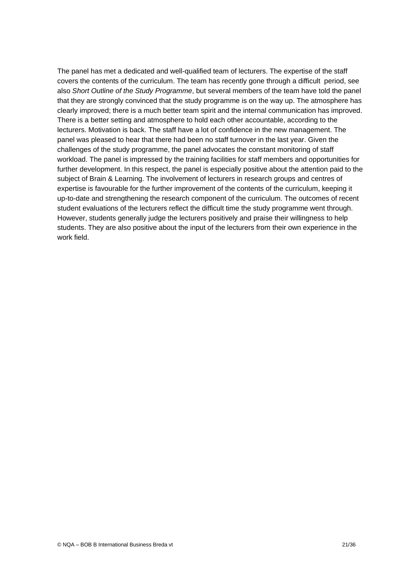The panel has met a dedicated and well-qualified team of lecturers. The expertise of the staff covers the contents of the curriculum. The team has recently gone through a difficult period, see also *Short Outline of the Study Programme*, but several members of the team have told the panel that they are strongly convinced that the study programme is on the way up. The atmosphere has clearly improved; there is a much better team spirit and the internal communication has improved. There is a better setting and atmosphere to hold each other accountable, according to the lecturers. Motivation is back. The staff have a lot of confidence in the new management. The panel was pleased to hear that there had been no staff turnover in the last year. Given the challenges of the study programme, the panel advocates the constant monitoring of staff workload. The panel is impressed by the training facilities for staff members and opportunities for further development. In this respect, the panel is especially positive about the attention paid to the subject of Brain & Learning. The involvement of lecturers in research groups and centres of expertise is favourable for the further improvement of the contents of the curriculum, keeping it up-to-date and strengthening the research component of the curriculum. The outcomes of recent student evaluations of the lecturers reflect the difficult time the study programme went through. However, students generally judge the lecturers positively and praise their willingness to help students. They are also positive about the input of the lecturers from their own experience in the work field.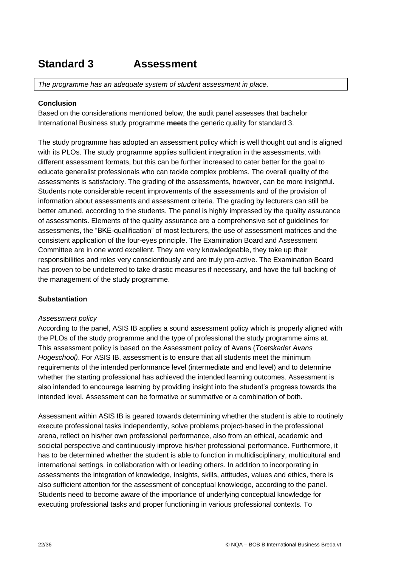# **Standard 3 Assessment**

*The programme has an adequate system of student assessment in place.*

#### **Conclusion**

Based on the considerations mentioned below, the audit panel assesses that bachelor International Business study programme **meets** the generic quality for standard 3.

The study programme has adopted an assessment policy which is well thought out and is aligned with its PLOs. The study programme applies sufficient integration in the assessments, with different assessment formats, but this can be further increased to cater better for the goal to educate generalist professionals who can tackle complex problems. The overall quality of the assessments is satisfactory. The grading of the assessments, however, can be more insightful. Students note considerable recent improvements of the assessments and of the provision of information about assessments and assessment criteria. The grading by lecturers can still be better attuned, according to the students. The panel is highly impressed by the quality assurance of assessments. Elements of the quality assurance are a comprehensive set of guidelines for assessments, the "BKE-qualification" of most lecturers, the use of assessment matrices and the consistent application of the four-eyes principle. The Examination Board and Assessment Committee are in one word excellent. They are very knowledgeable, they take up their responsibilities and roles very conscientiously and are truly pro-active. The Examination Board has proven to be undeterred to take drastic measures if necessary, and have the full backing of the management of the study programme.

#### **Substantiation**

#### *Assessment policy*

According to the panel, ASIS IB applies a sound assessment policy which is properly aligned with the PLOs of the study programme and the type of professional the study programme aims at. This assessment policy is based on the Assessment policy of Avans (*Toetskader Avans Hogeschool)*. For ASIS IB, assessment is to ensure that all students meet the minimum requirements of the intended performance level (intermediate and end level) and to determine whether the starting professional has achieved the intended learning outcomes. Assessment is also intended to encourage learning by providing insight into the student's progress towards the intended level. Assessment can be formative or summative or a combination of both.

Assessment within ASIS IB is geared towards determining whether the student is able to routinely execute professional tasks independently, solve problems project-based in the professional arena, reflect on his/her own professional performance, also from an ethical, academic and societal perspective and continuously improve his/her professional performance. Furthermore, it has to be determined whether the student is able to function in multidisciplinary, multicultural and international settings, in collaboration with or leading others. In addition to incorporating in assessments the integration of knowledge, insights, skills, attitudes, values and ethics, there is also sufficient attention for the assessment of conceptual knowledge, according to the panel. Students need to become aware of the importance of underlying conceptual knowledge for executing professional tasks and proper functioning in various professional contexts. To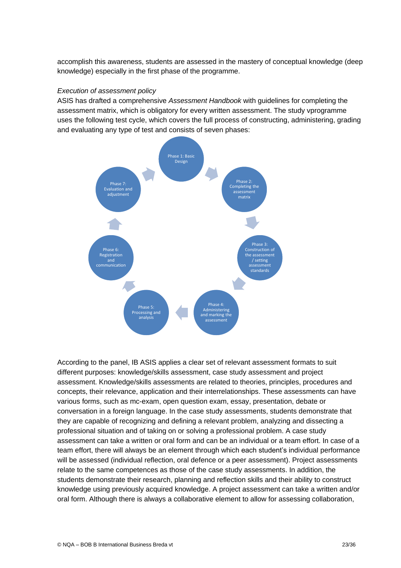accomplish this awareness, students are assessed in the mastery of conceptual knowledge (deep knowledge) especially in the first phase of the programme.

#### *Execution of assessment policy*

ASIS has drafted a comprehensive *Assessment Handbook* with guidelines for completing the assessment matrix, which is obligatory for every written assessment. The study vprogramme uses the following test cycle, which covers the full process of constructing, administering, grading and evaluating any type of test and consists of seven phases:



According to the panel, IB ASIS applies a clear set of relevant assessment formats to suit different purposes: knowledge/skills assessment, case study assessment and project assessment. Knowledge/skills assessments are related to theories, principles, procedures and concepts, their relevance, application and their interrelationships. These assessments can have various forms, such as mc-exam, open question exam, essay, presentation, debate or conversation in a foreign language. In the case study assessments, students demonstrate that they are capable of recognizing and defining a relevant problem, analyzing and dissecting a professional situation and of taking on or solving a professional problem. A case study assessment can take a written or oral form and can be an individual or a team effort. In case of a team effort, there will always be an element through which each student's individual performance will be assessed (individual reflection, oral defence or a peer assessment). Project assessments relate to the same competences as those of the case study assessments. In addition, the students demonstrate their research, planning and reflection skills and their ability to construct knowledge using previously acquired knowledge. A project assessment can take a written and/or oral form. Although there is always a collaborative element to allow for assessing collaboration,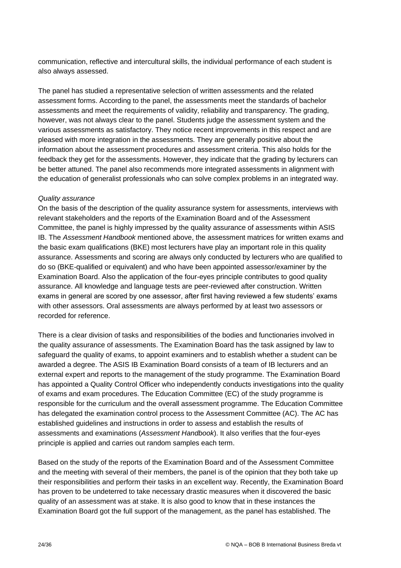communication, reflective and intercultural skills, the individual performance of each student is also always assessed.

The panel has studied a representative selection of written assessments and the related assessment forms. According to the panel, the assessments meet the standards of bachelor assessments and meet the requirements of validity, reliability and transparency. The grading, however, was not always clear to the panel. Students judge the assessment system and the various assessments as satisfactory. They notice recent improvements in this respect and are pleased with more integration in the assessments. They are generally positive about the information about the assessment procedures and assessment criteria. This also holds for the feedback they get for the assessments. However, they indicate that the grading by lecturers can be better attuned. The panel also recommends more integrated assessments in alignment with the education of generalist professionals who can solve complex problems in an integrated way.

#### *Quality assurance*

On the basis of the description of the quality assurance system for assessments, interviews with relevant stakeholders and the reports of the Examination Board and of the Assessment Committee, the panel is highly impressed by the quality assurance of assessments within ASIS IB. The *Assessment Handbook* mentioned above, the assessment matrices for written exams and the basic exam qualifications (BKE) most lecturers have play an important role in this quality assurance. Assessments and scoring are always only conducted by lecturers who are qualified to do so (BKE-qualified or equivalent) and who have been appointed assessor/examiner by the Examination Board. Also the application of the four-eyes principle contributes to good quality assurance. All knowledge and language tests are peer-reviewed after construction. Written exams in general are scored by one assessor, after first having reviewed a few students' exams with other assessors. Oral assessments are always performed by at least two assessors or recorded for reference.

There is a clear division of tasks and responsibilities of the bodies and functionaries involved in the quality assurance of assessments. The Examination Board has the task assigned by law to safeguard the quality of exams, to appoint examiners and to establish whether a student can be awarded a degree. The ASIS IB Examination Board consists of a team of IB lecturers and an external expert and reports to the management of the study programme. The Examination Board has appointed a Quality Control Officer who independently conducts investigations into the quality of exams and exam procedures. The Education Committee (EC) of the study programme is responsible for the curriculum and the overall assessment programme. The Education Committee has delegated the examination control process to the Assessment Committee (AC). The AC has established guidelines and instructions in order to assess and establish the results of assessments and examinations (*Assessment Handbook*). It also verifies that the four-eyes principle is applied and carries out random samples each term.

Based on the study of the reports of the Examination Board and of the Assessment Committee and the meeting with several of their members, the panel is of the opinion that they both take up their responsibilities and perform their tasks in an excellent way. Recently, the Examination Board has proven to be undeterred to take necessary drastic measures when it discovered the basic quality of an assessment was at stake. It is also good to know that in these instances the Examination Board got the full support of the management, as the panel has established. The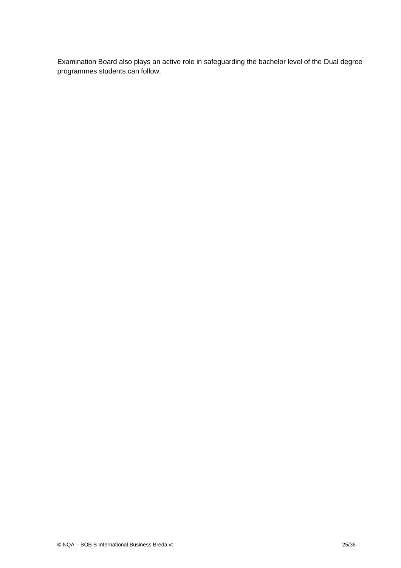Examination Board also plays an active role in safeguarding the bachelor level of the Dual degree programmes students can follow.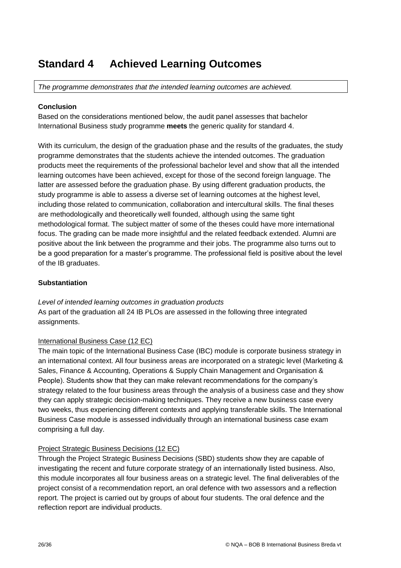# **Standard 4 Achieved Learning Outcomes**

*The programme demonstrates that the intended learning outcomes are achieved.*

### **Conclusion**

Based on the considerations mentioned below, the audit panel assesses that bachelor International Business study programme **meets** the generic quality for standard 4.

With its curriculum, the design of the graduation phase and the results of the graduates, the study programme demonstrates that the students achieve the intended outcomes. The graduation products meet the requirements of the professional bachelor level and show that all the intended learning outcomes have been achieved, except for those of the second foreign language. The latter are assessed before the graduation phase. By using different graduation products, the study programme is able to assess a diverse set of learning outcomes at the highest level, including those related to communication, collaboration and intercultural skills. The final theses are methodologically and theoretically well founded, although using the same tight methodological format. The subject matter of some of the theses could have more international focus. The grading can be made more insightful and the related feedback extended. Alumni are positive about the link between the programme and their jobs. The programme also turns out to be a good preparation for a master's programme. The professional field is positive about the level of the IB graduates.

# **Substantiation**

### *Level of intended learning outcomes in graduation products*

As part of the graduation all 24 IB PLOs are assessed in the following three integrated assignments.

### International Business Case (12 EC)

The main topic of the International Business Case (IBC) module is corporate business strategy in an international context. All four business areas are incorporated on a strategic level (Marketing & Sales, Finance & Accounting, Operations & Supply Chain Management and Organisation & People). Students show that they can make relevant recommendations for the company's strategy related to the four business areas through the analysis of a business case and they show they can apply strategic decision-making techniques. They receive a new business case every two weeks, thus experiencing different contexts and applying transferable skills. The International Business Case module is assessed individually through an international business case exam comprising a full day.

### Project Strategic Business Decisions (12 EC)

Through the Project Strategic Business Decisions (SBD) students show they are capable of investigating the recent and future corporate strategy of an internationally listed business. Also, this module incorporates all four business areas on a strategic level. The final deliverables of the project consist of a recommendation report, an oral defence with two assessors and a reflection report. The project is carried out by groups of about four students. The oral defence and the reflection report are individual products.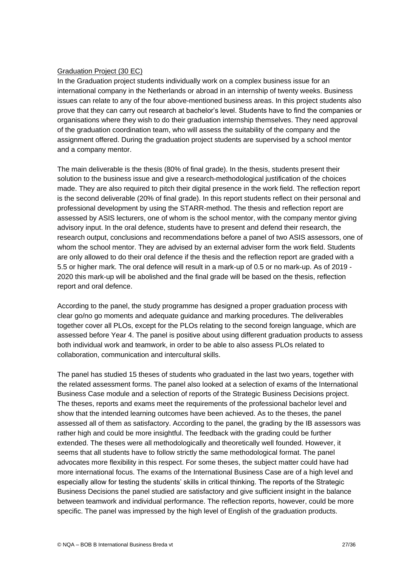### Graduation Project (30 EC)

In the Graduation project students individually work on a complex business issue for an international company in the Netherlands or abroad in an internship of twenty weeks. Business issues can relate to any of the four above-mentioned business areas. In this project students also prove that they can carry out research at bachelor's level. Students have to find the companies or organisations where they wish to do their graduation internship themselves. They need approval of the graduation coordination team, who will assess the suitability of the company and the assignment offered. During the graduation project students are supervised by a school mentor and a company mentor.

The main deliverable is the thesis (80% of final grade). In the thesis, students present their solution to the business issue and give a research-methodological justification of the choices made. They are also required to pitch their digital presence in the work field. The reflection report is the second deliverable (20% of final grade). In this report students reflect on their personal and professional development by using the STARR-method. The thesis and reflection report are assessed by ASIS lecturers, one of whom is the school mentor, with the company mentor giving advisory input. In the oral defence, students have to present and defend their research, the research output, conclusions and recommendations before a panel of two ASIS assessors, one of whom the school mentor. They are advised by an external adviser form the work field. Students are only allowed to do their oral defence if the thesis and the reflection report are graded with a 5.5 or higher mark. The oral defence will result in a mark-up of 0.5 or no mark-up. As of 2019 - 2020 this mark-up will be abolished and the final grade will be based on the thesis, reflection report and oral defence.

According to the panel, the study programme has designed a proper graduation process with clear go/no go moments and adequate guidance and marking procedures. The deliverables together cover all PLOs, except for the PLOs relating to the second foreign language, which are assessed before Year 4. The panel is positive about using different graduation products to assess both individual work and teamwork, in order to be able to also assess PLOs related to collaboration, communication and intercultural skills.

The panel has studied 15 theses of students who graduated in the last two years, together with the related assessment forms. The panel also looked at a selection of exams of the International Business Case module and a selection of reports of the Strategic Business Decisions project. The theses, reports and exams meet the requirements of the professional bachelor level and show that the intended learning outcomes have been achieved. As to the theses, the panel assessed all of them as satisfactory. According to the panel, the grading by the IB assessors was rather high and could be more insightful. The feedback with the grading could be further extended. The theses were all methodologically and theoretically well founded. However, it seems that all students have to follow strictly the same methodological format. The panel advocates more flexibility in this respect. For some theses, the subject matter could have had more international focus. The exams of the International Business Case are of a high level and especially allow for testing the students' skills in critical thinking. The reports of the Strategic Business Decisions the panel studied are satisfactory and give sufficient insight in the balance between teamwork and individual performance. The reflection reports, however, could be more specific. The panel was impressed by the high level of English of the graduation products.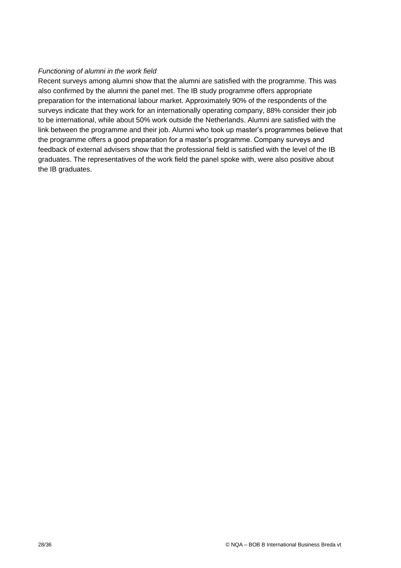### *Functioning of alumni in the work field*

Recent surveys among alumni show that the alumni are satisfied with the programme. This was also confirmed by the alumni the panel met. The IB study programme offers appropriate preparation for the international labour market. Approximately 90% of the respondents of the surveys indicate that they work for an internationally operating company, 88% consider their job to be international, while about 50% work outside the Netherlands. Alumni are satisfied with the link between the programme and their job. Alumni who took up master's programmes believe that the programme offers a good preparation for a master's programme. Company surveys and feedback of external advisers show that the professional field is satisfied with the level of the IB graduates. The representatives of the work field the panel spoke with, were also positive about the IB graduates.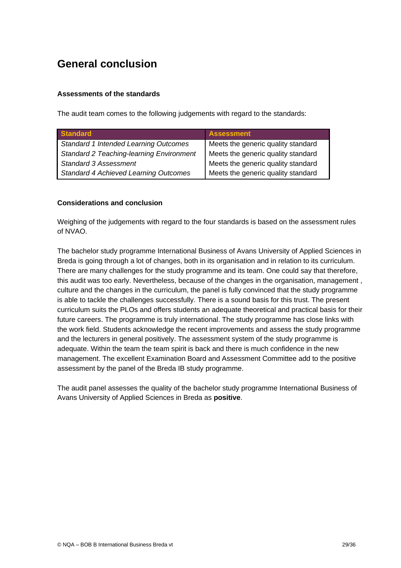# **General conclusion**

### **Assessments of the standards**

The audit team comes to the following judgements with regard to the standards:

| <b>Standard</b>                                 | <b>Assessment</b>                  |
|-------------------------------------------------|------------------------------------|
| <b>Standard 1 Intended Learning Outcomes</b>    | Meets the generic quality standard |
| <b>Standard 2 Teaching-learning Environment</b> | Meets the generic quality standard |
| <b>Standard 3 Assessment</b>                    | Meets the generic quality standard |
| <b>Standard 4 Achieved Learning Outcomes</b>    | Meets the generic quality standard |

#### **Considerations and conclusion**

Weighing of the judgements with regard to the four standards is based on the assessment rules of NVAO.

The bachelor study programme International Business of Avans University of Applied Sciences in Breda is going through a lot of changes, both in its organisation and in relation to its curriculum. There are many challenges for the study programme and its team. One could say that therefore, this audit was too early. Nevertheless, because of the changes in the organisation, management , culture and the changes in the curriculum, the panel is fully convinced that the study programme is able to tackle the challenges successfully. There is a sound basis for this trust. The present curriculum suits the PLOs and offers students an adequate theoretical and practical basis for their future careers. The programme is truly international. The study programme has close links with the work field. Students acknowledge the recent improvements and assess the study programme and the lecturers in general positively. The assessment system of the study programme is adequate. Within the team the team spirit is back and there is much confidence in the new management. The excellent Examination Board and Assessment Committee add to the positive assessment by the panel of the Breda IB study programme.

The audit panel assesses the quality of the bachelor study programme International Business of Avans University of Applied Sciences in Breda as **positive**.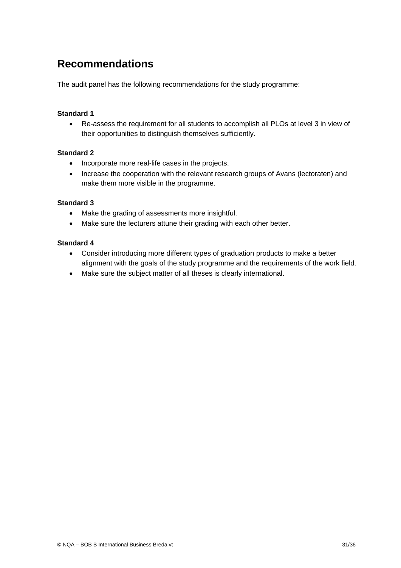# **Recommendations**

The audit panel has the following recommendations for the study programme:

### **Standard 1**

• Re-assess the requirement for all students to accomplish all PLOs at level 3 in view of their opportunities to distinguish themselves sufficiently.

#### **Standard 2**

- Incorporate more real-life cases in the projects.
- Increase the cooperation with the relevant research groups of Avans (lectoraten) and make them more visible in the programme.

#### **Standard 3**

- Make the grading of assessments more insightful.
- Make sure the lecturers attune their grading with each other better.

#### **Standard 4**

- Consider introducing more different types of graduation products to make a better alignment with the goals of the study programme and the requirements of the work field.
- Make sure the subject matter of all theses is clearly international.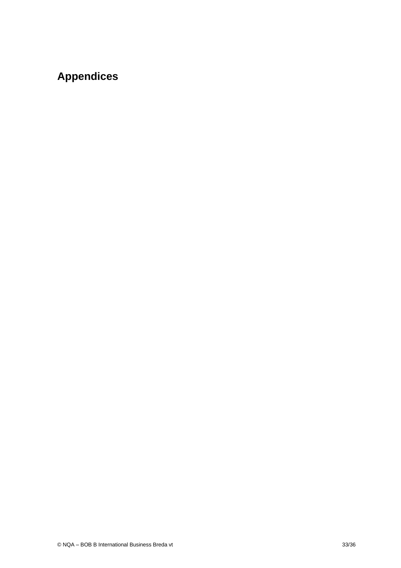# **Appendices**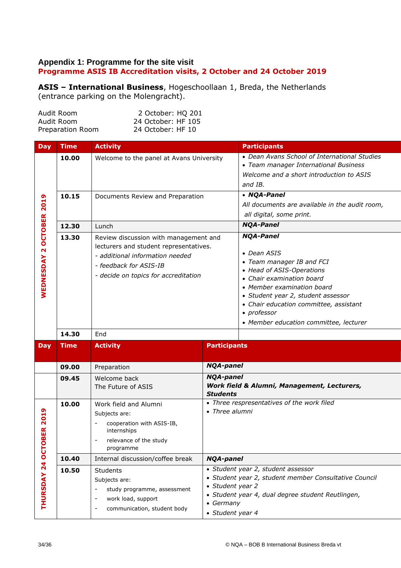### <span id="page-33-0"></span>**Appendix 1: Programme for the site visit Programme ASIS IB Accreditation visits, 2 October and 24 October 2019**

**ASIS – International Business**, Hogeschoollaan 1, Breda, the Netherlands (entrance parking on the Molengracht).

| Audit Room       |  |
|------------------|--|
| Audit Room       |  |
| Preparation Room |  |

2 October: HQ 201 24 October: HF 105 24 October: HF 10

| <b>Day</b>           | <b>Time</b>                          | <b>Activity</b>                                |                               | <b>Participants</b>                                    |
|----------------------|--------------------------------------|------------------------------------------------|-------------------------------|--------------------------------------------------------|
|                      | 10.00                                | Welcome to the panel at Avans University       |                               | • Dean Avans School of International Studies           |
|                      |                                      |                                                |                               | • Team manager International Business                  |
|                      |                                      |                                                |                               | Welcome and a short introduction to ASIS               |
|                      |                                      |                                                |                               | and IB.                                                |
| <b>OCTOBER 2019</b>  | 10.15                                | Documents Review and Preparation               |                               | • NQA-Panel                                            |
|                      |                                      |                                                |                               | All documents are available in the audit room,         |
|                      |                                      |                                                |                               | all digital, some print.                               |
|                      | 12.30                                | Lunch                                          |                               | <b>NQA-Panel</b>                                       |
|                      | 13.30                                | Review discussion with management and          |                               | <b>NQA-Panel</b>                                       |
| $\mathbf{\tilde{z}}$ |                                      | lecturers and student representatives.         |                               |                                                        |
|                      | - additional information needed      |                                                |                               | • Dean ASIS                                            |
| WEDNESDAY            |                                      | - feedback for ASIS-IB                         |                               | • Team manager IB and FCI                              |
|                      | - decide on topics for accreditation |                                                |                               | • Head of ASIS-Operations<br>• Chair examination board |
|                      |                                      |                                                |                               | • Member examination board                             |
|                      |                                      |                                                |                               | • Student year 2, student assessor                     |
|                      |                                      |                                                |                               | • Chair education committee, assistant                 |
|                      |                                      |                                                |                               | • professor                                            |
|                      |                                      |                                                |                               | • Member education committee, lecturer                 |
|                      |                                      |                                                |                               |                                                        |
|                      | 14.30                                | End                                            |                               |                                                        |
|                      |                                      |                                                |                               |                                                        |
| <b>Day</b>           | <b>Time</b>                          | <b>Activity</b>                                | <b>Participants</b>           |                                                        |
|                      | 09.00                                | Preparation                                    | <b>NQA-panel</b>              |                                                        |
|                      |                                      |                                                | <b>NQA-panel</b>              |                                                        |
|                      | 09.45                                | Welcome back                                   |                               | Work field & Alumni, Management, Lecturers,            |
|                      |                                      | The Future of ASIS                             | <b>Students</b>               |                                                        |
|                      | 10.00                                | Work field and Alumni                          |                               | • Three respresentatives of the work filed             |
|                      |                                      | Subjects are:                                  | • Three alumni                |                                                        |
|                      |                                      | cooperation with ASIS-IB,                      |                               |                                                        |
| <b>BER 2019</b>      |                                      | internships                                    |                               |                                                        |
|                      |                                      | relevance of the study<br>programme            |                               |                                                        |
|                      | 10.40                                | Internal discussion/coffee break               | <b>NQA-panel</b>              |                                                        |
|                      | 10.50                                | Students                                       |                               | • Student year 2, student assessor                     |
|                      |                                      | Subjects are:                                  |                               | · Student year 2, student member Consultative Council  |
|                      |                                      | study programme, assessment                    | • Student year 2              |                                                        |
|                      |                                      | work load, support<br>$\overline{\phantom{a}}$ |                               | · Student year 4, dual degree student Reutlingen,      |
| THURSDAY 24 OCTO     |                                      | communication, student body                    | • Germany<br>• Student year 4 |                                                        |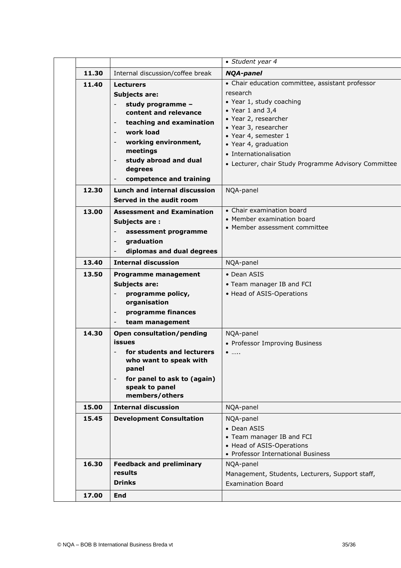|  |       |                                                                                                                                                                                                                                                   | • Student year 4                                                                                                                                                                                                                                                                                 |
|--|-------|---------------------------------------------------------------------------------------------------------------------------------------------------------------------------------------------------------------------------------------------------|--------------------------------------------------------------------------------------------------------------------------------------------------------------------------------------------------------------------------------------------------------------------------------------------------|
|  | 11.30 | Internal discussion/coffee break                                                                                                                                                                                                                  | <b>NQA-panel</b>                                                                                                                                                                                                                                                                                 |
|  | 11.40 | <b>Lecturers</b><br>Subjects are:<br>study programme -<br>content and relevance<br>teaching and examination<br>work load<br>$\qquad \qquad -$<br>working environment,<br>meetings<br>study abroad and dual<br>$\overline{\phantom{a}}$<br>degrees | • Chair education committee, assistant professor<br>research<br>• Year 1, study coaching<br>• Year 1 and $3,4$<br>• Year 2, researcher<br>• Year 3, researcher<br>· Year 4, semester 1<br>• Year 4, graduation<br>• Internationalisation<br>• Lecturer, chair Study Programme Advisory Committee |
|  |       | competence and training                                                                                                                                                                                                                           |                                                                                                                                                                                                                                                                                                  |
|  | 12.30 | <b>Lunch and internal discussion</b><br>Served in the audit room                                                                                                                                                                                  | NQA-panel                                                                                                                                                                                                                                                                                        |
|  | 13.00 | <b>Assessment and Examination</b><br>Subjects are:<br>assessment programme<br>$\overline{\phantom{0}}$<br>graduation<br>$\qquad \qquad -$<br>diplomas and dual degrees                                                                            | • Chair examination board<br>• Member examination board<br>• Member assessment committee                                                                                                                                                                                                         |
|  | 13.40 | <b>Internal discussion</b>                                                                                                                                                                                                                        | NQA-panel                                                                                                                                                                                                                                                                                        |
|  | 13.50 | <b>Programme management</b><br>Subjects are:<br>programme policy,<br>organisation<br>programme finances<br>team management                                                                                                                        | • Dean ASIS<br>• Team manager IB and FCI<br>• Head of ASIS-Operations                                                                                                                                                                                                                            |
|  | 14.30 | <b>Open consultation/pending</b><br>issues<br>for students and lecturers<br>who want to speak with<br>panel<br>for panel to ask to (again)<br>$\overline{a}$<br>speak to panel<br>members/others                                                  | NQA-panel<br>• Professor Improving Business<br>$\bullet$                                                                                                                                                                                                                                         |
|  | 15.00 | <b>Internal discussion</b>                                                                                                                                                                                                                        | NQA-panel                                                                                                                                                                                                                                                                                        |
|  | 15.45 | <b>Development Consultation</b>                                                                                                                                                                                                                   | NQA-panel<br>• Dean ASIS<br>• Team manager IB and FCI<br>• Head of ASIS-Operations<br>• Professor International Business                                                                                                                                                                         |
|  | 16.30 | <b>Feedback and preliminary</b><br>results<br><b>Drinks</b>                                                                                                                                                                                       | NQA-panel<br>Management, Students, Lecturers, Support staff,<br><b>Examination Board</b>                                                                                                                                                                                                         |
|  | 17.00 | <b>End</b>                                                                                                                                                                                                                                        |                                                                                                                                                                                                                                                                                                  |